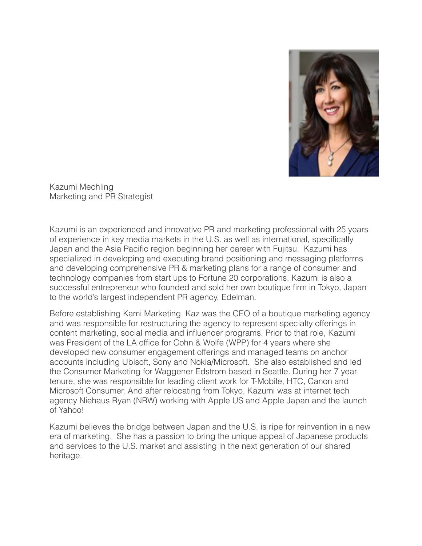

Kazumi Mechling Marketing and PR Strategist

Kazumi is an experienced and innovative PR and marketing professional with 25 years of experience in key media markets in the U.S. as well as international, specifically Japan and the Asia Pacific region beginning her career with Fujitsu. Kazumi has specialized in developing and executing brand positioning and messaging platforms and developing comprehensive PR & marketing plans for a range of consumer and technology companies from start ups to Fortune 20 corporations. Kazumi is also a successful entrepreneur who founded and sold her own boutique firm in Tokyo, Japan to the world's largest independent PR agency, Edelman.

Before establishing Kami Marketing, Kaz was the CEO of a boutique marketing agency and was responsible for restructuring the agency to represent specialty offerings in content marketing, social media and influencer programs. Prior to that role, Kazumi was President of the LA office for Cohn & Wolfe (WPP) for 4 years where she developed new consumer engagement offerings and managed teams on anchor accounts including Ubisoft, Sony and Nokia/Microsoft. She also established and led the Consumer Marketing for Waggener Edstrom based in Seattle. During her 7 year tenure, she was responsible for leading client work for T-Mobile, HTC, Canon and Microsoft Consumer. And after relocating from Tokyo, Kazumi was at internet tech agency Niehaus Ryan (NRW) working with Apple US and Apple Japan and the launch of Yahoo!

Kazumi believes the bridge between Japan and the U.S. is ripe for reinvention in a new era of marketing. She has a passion to bring the unique appeal of Japanese products and services to the U.S. market and assisting in the next generation of our shared heritage.